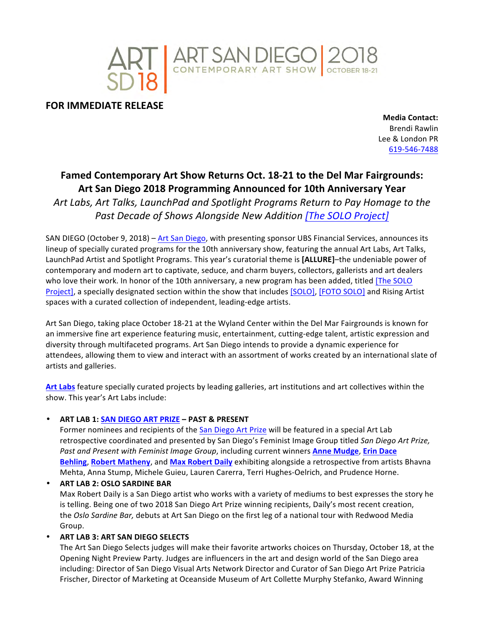

**FOR IMMEDIATE RELEASE** 

**Media Contact:** Brendi Rawlin Lee & London PR 619-546-7488

# **Famed Contemporary Art Show Returns Oct. 18-21 to the Del Mar Fairgrounds:** Art San Diego 2018 Programming Announced for 10th Anniversary Year

Art Labs, Art Talks, LaunchPad and Spotlight Programs Return to Pay Homage to the Past Decade of Shows Alongside New Addition [The SOLO Project]

SAN DIEGO (October 9, 2018) - Art San Diego, with presenting sponsor UBS Financial Services, announces its lineup of specially curated programs for the 10th anniversary show, featuring the annual Art Labs, Art Talks, LaunchPad Artist and Spotlight Programs. This year's curatorial theme is [ALLURE]–the undeniable power of contemporary and modern art to captivate, seduce, and charm buyers, collectors, gallerists and art dealers who love their work. In honor of the 10th anniversary, a new program has been added, titled [The SOLO Project], a specially designated section within the show that includes [SOLO], [FOTO SOLO] and Rising Artist spaces with a curated collection of independent, leading-edge artists.

Art San Diego, taking place October 18-21 at the Wyland Center within the Del Mar Fairgrounds is known for an immersive fine art experience featuring music, entertainment, cutting-edge talent, artistic expression and diversity through multifaceted programs. Art San Diego intends to provide a dynamic experience for attendees, allowing them to view and interact with an assortment of works created by an international slate of artists and galleries.

Art Labs feature specially curated projects by leading galleries, art institutions and art collectives within the show. This year's Art Labs include:

• **ART LAB 1: SAN DIEGO ART PRIZE – PAST & PRESENT**

Former nominees and recipients of the San Diego Art Prize will be featured in a special Art Lab retrospective coordinated and presented by San Diego's Feminist Image Group titled San Diego Art Prize, Past and Present with Feminist Image Group, including current winners **Anne Mudge**, Erin Dace **Behling, Robert Matheny, and Max Robert Daily** exhibiting alongside a retrospective from artists Bhavna Mehta, Anna Stump, Michele Guieu, Lauren Carerra, Terri Hughes-Oelrich, and Prudence Horne.

• **ART LAB 2: OSLO SARDINE BAR** Max Robert Daily is a San Diego artist who works with a variety of mediums to best expresses the story he is telling. Being one of two 2018 San Diego Art Prize winning recipients, Daily's most recent creation, the *Oslo Sardine Bar,* debuts at Art San Diego on the first leg of a national tour with Redwood Media Group.

• **ART LAB 3: ART SAN DIEGO SELECTS**

The Art San Diego Selects judges will make their favorite artworks choices on Thursday, October 18, at the Opening Night Preview Party. Judges are influencers in the art and design world of the San Diego area including: Director of San Diego Visual Arts Network Director and Curator of San Diego Art Prize Patricia Frischer, Director of Marketing at Oceanside Museum of Art Collette Murphy Stefanko, Award Winning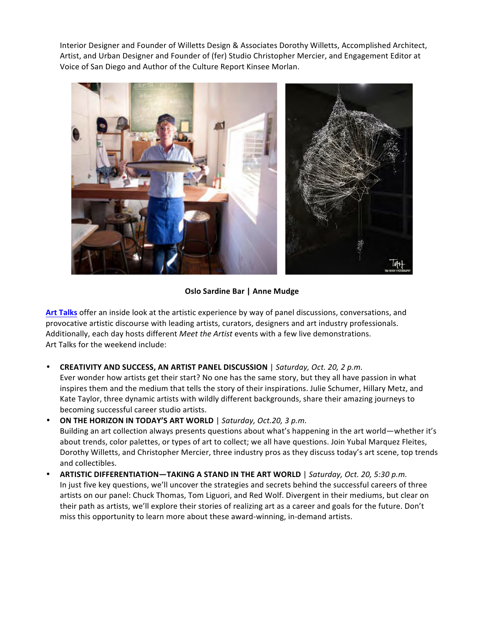Interior Designer and Founder of Willetts Design & Associates Dorothy Willetts, Accomplished Architect, Artist, and Urban Designer and Founder of (fer) Studio Christopher Mercier, and Engagement Editor at Voice of San Diego and Author of the Culture Report Kinsee Morlan.



# **Oslo Sardine Bar | Anne Mudge**

Art Talks offer an inside look at the artistic experience by way of panel discussions, conversations, and provocative artistic discourse with leading artists, curators, designers and art industry professionals. Additionally, each day hosts different *Meet the Artist* events with a few live demonstrations. Art Talks for the weekend include:

• **CREATIVITY AND SUCCESS, AN ARTIST PANEL DISCUSSION** | *Saturday, Oct. 20, 2 p.m.*

Ever wonder how artists get their start? No one has the same story, but they all have passion in what inspires them and the medium that tells the story of their inspirations. Julie Schumer, Hillary Metz, and Kate Taylor, three dynamic artists with wildly different backgrounds, share their amazing journeys to becoming successful career studio artists.

- **ON THE HORIZON IN TODAY'S ART WORLD** | Saturday, Oct.20, 3 p.m. Building an art collection always presents questions about what's happening in the art world—whether it's about trends, color palettes, or types of art to collect; we all have questions. Join Yubal Marquez Fleites, Dorothy Willetts, and Christopher Mercier, three industry pros as they discuss today's art scene, top trends and collectibles.
- **ARTISTIC DIFFERENTIATION—TAKING A STAND IN THE ART WORLD** | *Saturday, Oct. 20, 5:30 p.m.* In just five key questions, we'll uncover the strategies and secrets behind the successful careers of three artists on our panel: Chuck Thomas, Tom Liguori, and Red Wolf. Divergent in their mediums, but clear on their path as artists, we'll explore their stories of realizing art as a career and goals for the future. Don't miss this opportunity to learn more about these award-winning, in-demand artists.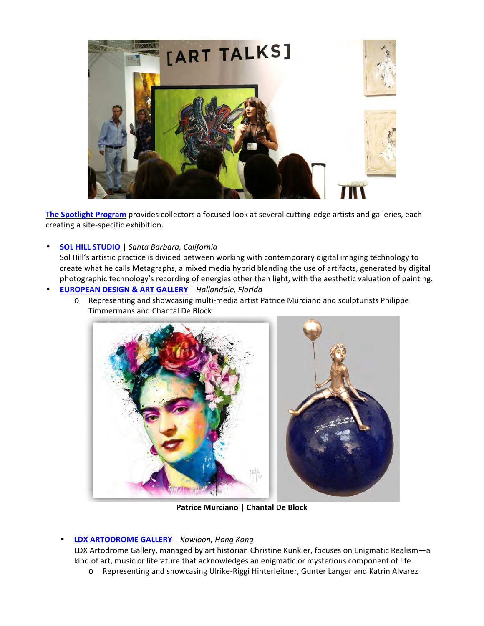

The Spotlight Program provides collectors a focused look at several cutting-edge artists and galleries, each creating a site-specific exhibition.

• **SOL HILL STUDIO |** *Santa Barbara, California*

Sol Hill's artistic practice is divided between working with contemporary digital imaging technology to create what he calls Metagraphs, a mixed media hybrid blending the use of artifacts, generated by digital photographic technology's recording of energies other than light, with the aesthetic valuation of painting. • **EUROPEAN DESIGN & ART GALLERY** | *Hallandale, Florida*

o Representing and showcasing multi-media artist Patrice Murciano and sculpturists Philippe Timmermans and Chantal De Block



**Patrice Murciano | Chantal De Block** 

## • **LDX ARTODROME GALLERY** | *Kowloon, Hong Kong*

LDX Artodrome Gallery, managed by art historian Christine Kunkler, focuses on Enigmatic Realism-a kind of art, music or literature that acknowledges an enigmatic or mysterious component of life.

o Representing and showcasing Ulrike-Riggi Hinterleitner, Gunter Langer and Katrin Alvarez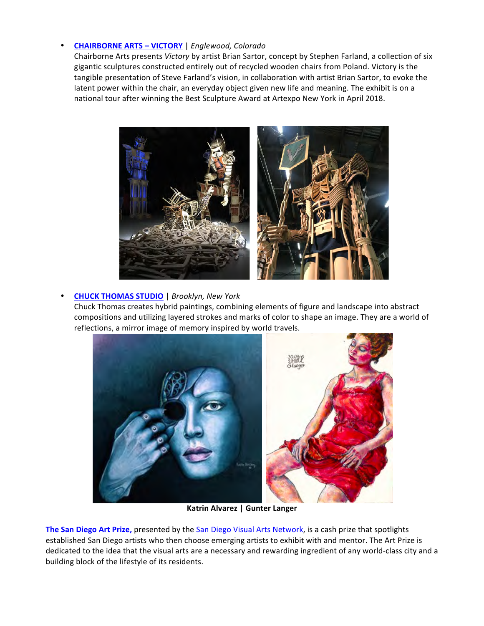# • **CHAIRBORNE ARTS – VICTORY** | *Englewood, Colorado*

Chairborne Arts presents *Victory* by artist Brian Sartor, concept by Stephen Farland, a collection of six gigantic sculptures constructed entirely out of recycled wooden chairs from Poland. Victory is the tangible presentation of Steve Farland's vision, in collaboration with artist Brian Sartor, to evoke the latent power within the chair, an everyday object given new life and meaning. The exhibit is on a national tour after winning the Best Sculpture Award at Artexpo New York in April 2018.



## • **CHUCK THOMAS STUDIO** | *Brooklyn, New York*

Chuck Thomas creates hybrid paintings, combining elements of figure and landscape into abstract compositions and utilizing layered strokes and marks of color to shape an image. They are a world of reflections, a mirror image of memory inspired by world travels.



**Katrin Alvarez | Gunter Langer**

**The San Diego Art Prize, presented by the San Diego Visual Arts Network, is a cash prize that spotlights** established San Diego artists who then choose emerging artists to exhibit with and mentor. The Art Prize is dedicated to the idea that the visual arts are a necessary and rewarding ingredient of any world-class city and a building block of the lifestyle of its residents.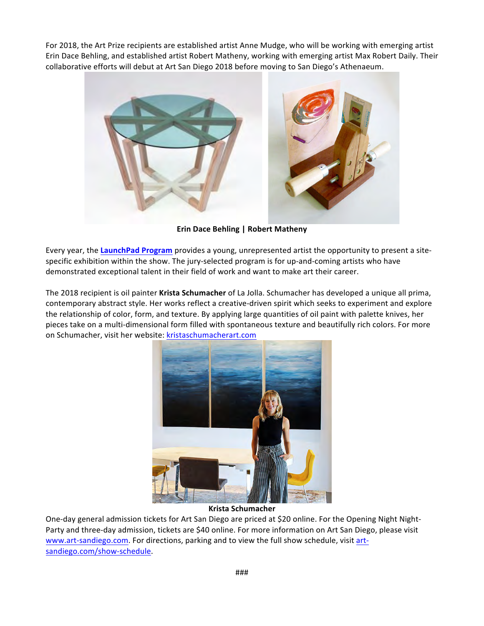For 2018, the Art Prize recipients are established artist Anne Mudge, who will be working with emerging artist Erin Dace Behling, and established artist Robert Matheny, working with emerging artist Max Robert Daily. Their collaborative efforts will debut at Art San Diego 2018 before moving to San Diego's Athenaeum.



**Erin Dace Behling | Robert Matheny** 

Every year, the **LaunchPad Program** provides a young, unrepresented artist the opportunity to present a sitespecific exhibition within the show. The jury-selected program is for up-and-coming artists who have demonstrated exceptional talent in their field of work and want to make art their career.

The 2018 recipient is oil painter Krista Schumacher of La Jolla. Schumacher has developed a unique all prima, contemporary abstract style. Her works reflect a creative-driven spirit which seeks to experiment and explore the relationship of color, form, and texture. By applying large quantities of oil paint with palette knives, her pieces take on a multi-dimensional form filled with spontaneous texture and beautifully rich colors. For more on Schumacher, visit her website: kristaschumacherart.com



**Krista Schumacher**

One-day general admission tickets for Art San Diego are priced at \$20 online. For the Opening Night Night-Party and three-day admission, tickets are \$40 online. For more information on Art San Diego, please visit www.art-sandiego.com. For directions, parking and to view the full show schedule, visit artsandiego.com/show-schedule.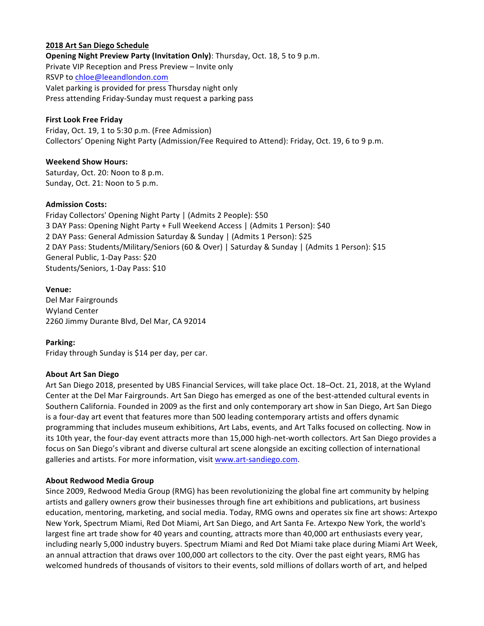### **2018 Art San Diego Schedule**

**Opening Night Preview Party (Invitation Only)**: Thursday, Oct. 18, 5 to 9 p.m. Private VIP Reception and Press Preview – Invite only RSVP to chloe@leeandlondon.com Valet parking is provided for press Thursday night only Press attending Friday-Sunday must request a parking pass

#### **First Look Free Friday**

Friday, Oct. 19, 1 to 5:30 p.m. (Free Admission) Collectors' Opening Night Party (Admission/Fee Required to Attend): Friday, Oct. 19, 6 to 9 p.m.

#### **Weekend Show Hours:**

Saturday, Oct. 20: Noon to 8 p.m. Sunday, Oct. 21: Noon to 5 p.m.

#### **Admission Costs:**

Friday Collectors' Opening Night Party | (Admits 2 People): \$50 3 DAY Pass: Opening Night Party + Full Weekend Access | (Admits 1 Person): \$40 2 DAY Pass: General Admission Saturday & Sunday | (Admits 1 Person): \$25 2 DAY Pass: Students/Military/Seniors (60 & Over) | Saturday & Sunday | (Admits 1 Person): \$15 General Public, 1-Day Pass: \$20 Students/Seniors, 1-Day Pass: \$10

## **Venue:** Del Mar Fairgrounds Wyland Center 2260 Jimmy Durante Blvd, Del Mar, CA 92014

**Parking:** Friday through Sunday is \$14 per day, per car.

## **About Art San Diego**

Art San Diego 2018, presented by UBS Financial Services, will take place Oct. 18–Oct. 21, 2018, at the Wyland Center at the Del Mar Fairgrounds. Art San Diego has emerged as one of the best-attended cultural events in Southern California. Founded in 2009 as the first and only contemporary art show in San Diego, Art San Diego is a four-day art event that features more than 500 leading contemporary artists and offers dynamic programming that includes museum exhibitions, Art Labs, events, and Art Talks focused on collecting. Now in its 10th year, the four-day event attracts more than 15,000 high-net-worth collectors. Art San Diego provides a focus on San Diego's vibrant and diverse cultural art scene alongside an exciting collection of international galleries and artists. For more information, visit www.art-sandiego.com.

## **About Redwood Media Group**

Since 2009, Redwood Media Group (RMG) has been revolutionizing the global fine art community by helping artists and gallery owners grow their businesses through fine art exhibitions and publications, art business education, mentoring, marketing, and social media. Today, RMG owns and operates six fine art shows: Artexpo New York, Spectrum Miami, Red Dot Miami, Art San Diego, and Art Santa Fe. Artexpo New York, the world's largest fine art trade show for 40 years and counting, attracts more than 40,000 art enthusiasts every year, including nearly 5,000 industry buyers. Spectrum Miami and Red Dot Miami take place during Miami Art Week, an annual attraction that draws over 100,000 art collectors to the city. Over the past eight years, RMG has welcomed hundreds of thousands of visitors to their events, sold millions of dollars worth of art, and helped